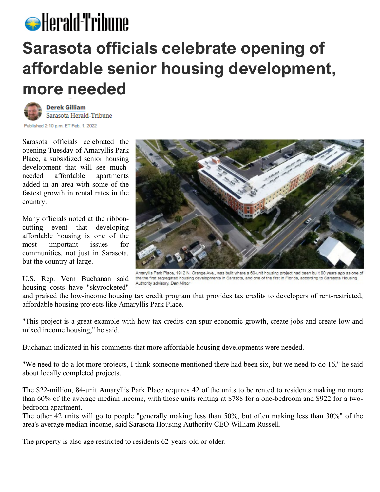## **S** Herald-Tribune **Sarasota officials celebrate opening of affordable senior housing development, more needed**



Published 2:10 p.m. ET Feb. 1, 2022

Sarasota officials celebrated the opening Tuesday of Amaryllis Park Place, a subsidized senior housing development that will see muchneeded affordable apartments added in an area with some of the fastest growth in rental rates in the country.

Many officials noted at the ribboncutting event that developing affordable housing is one of the most important issues for communities, not just in Sarasota, but the country at large.

U.S. Rep. Vern Buchanan said housing costs have "skyrocketed"



Amaryllis Park Place, 1912 N. Orange Ave., was built where a 60-unit housing project had been built 80 years ago as one of the the first segregated housing developments in Sarasota, and one of the first in Florida, according to Sarasota Housing Authority advisory. Dan Minor

and praised the low-income housing tax credit program that provides tax credits to developers of rent-restricted, affordable housing projects like Amaryllis Park Place.

"This project is a great example with how tax credits can spur economic growth, create jobs and create low and mixed income housing," he said.

Buchanan indicated in his comments that more affordable housing developments were needed.

"We need to do a lot more projects, I think someone mentioned there had been six, but we need to do 16," he said about locally completed projects.

The \$22-million, 84-unit Amaryllis Park Place requires 42 of the units to be rented to residents making no more than 60% of the average median income, with those units renting at \$788 for a one-bedroom and \$922 for a twobedroom apartment.

The other 42 units will go to people "generally making less than 50%, but often making less than 30%" of the area's average median income, said Sarasota Housing Authority CEO William Russell.

The property is also age restricted to residents 62-years-old or older.